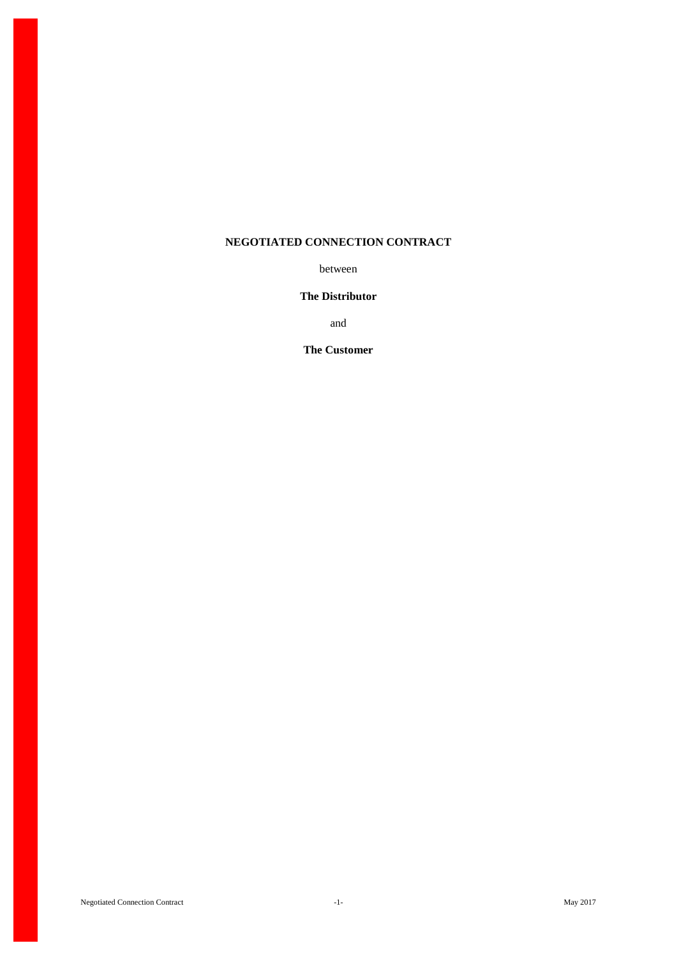# **NEGOTIATED CONNECTION CONTRACT**

between

# **The Distributor**

and

**The Customer**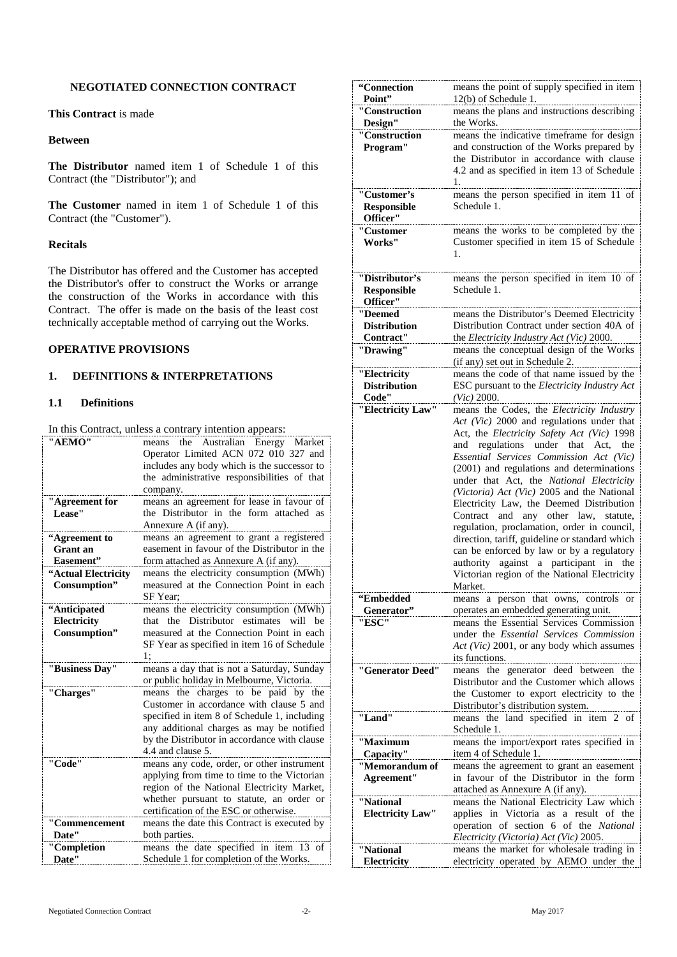## **NEGOTIATED CONNECTION CONTRACT**

**This Contract** is made

#### **Between**

**The Distributor** named item 1 of Schedule 1 of this Contract (the "Distributor"); and

**The Customer** named in item 1 of Schedule 1 of this Contract (the "Customer").

## **Recitals**

The Distributor has offered and the Customer has accepted the Distributor's offer to construct the Works or arrange the construction of the Works in accordance with this Contract. The offer is made on the basis of the least cost technically acceptable method of carrying out the Works.

## **OPERATIVE PROVISIONS**

## **1. DEFINITIONS & INTERPRETATIONS**

#### **1.1 Definitions**

In this Contract, unless a contrary intention appears:

| "AEMO"               | the<br>Australian Energy Market<br>means<br>Operator Limited ACN 072 010 327 and        |
|----------------------|-----------------------------------------------------------------------------------------|
|                      | includes any body which is the successor to                                             |
|                      | the administrative responsibilities of that                                             |
|                      | company.                                                                                |
| "Agreement for       | means an agreement for lease in favour of                                               |
| Lease"               | the Distributor in the form attached as                                                 |
|                      | Annexure A (if any).                                                                    |
| "Agreement to        | means an agreement to grant a registered                                                |
| Grant an             | easement in favour of the Distributor in the                                            |
| Easement"            | form attached as Annexure A (if any).                                                   |
| "Actual Electricity  | means the electricity consumption (MWh)                                                 |
| Consumption"         | measured at the Connection Point in each                                                |
|                      | SF Year:                                                                                |
| "Anticipated         | means the electricity consumption (MWh)                                                 |
| Electricity          | Distributor<br>estimates<br>will<br>that<br>the<br>he.                                  |
| Consumption"         | measured at the Connection Point in each                                                |
|                      | SF Year as specified in item 16 of Schedule<br>1:                                       |
|                      |                                                                                         |
|                      |                                                                                         |
| "Business Day"       | means a day that is not a Saturday, Sunday<br>or public holiday in Melbourne, Victoria. |
| "Charges"            | means the charges to be paid by the                                                     |
|                      | Customer in accordance with clause 5 and                                                |
|                      | specified in item 8 of Schedule 1, including                                            |
|                      | any additional charges as may be notified                                               |
|                      | by the Distributor in accordance with clause                                            |
|                      | 4.4 and clause 5.                                                                       |
| "Code"               | means any code, order, or other instrument                                              |
|                      | applying from time to time to the Victorian                                             |
|                      | region of the National Electricity Market,                                              |
|                      | whether pursuant to statute, an order or                                                |
|                      | certification of the ESC or otherwise.                                                  |
| "Commencement        | means the date this Contract is executed by                                             |
| Date"<br>"Completion | both parties.<br>means the date specified in item 13 of                                 |

| "Connection                         | means the point of supply specified in item                                               |
|-------------------------------------|-------------------------------------------------------------------------------------------|
| Point"<br>"Construction             | 12(b) of Schedule 1.<br>means the plans and instructions describing                       |
| Design"                             | the Works.                                                                                |
| "Construction                       | means the indicative timeframe for design                                                 |
| Program"                            | and construction of the Works prepared by                                                 |
|                                     | the Distributor in accordance with clause                                                 |
|                                     | 4.2 and as specified in item 13 of Schedule<br>1.                                         |
| "Customer's                         | means the person specified in item 11 of                                                  |
| Responsible                         | Schedule 1.                                                                               |
| Officer"                            |                                                                                           |
| ''Customer                          | means the works to be completed by the                                                    |
| Works"                              | Customer specified in item 15 of Schedule<br>1.                                           |
|                                     |                                                                                           |
| "Distributor's                      | means the person specified in item 10 of                                                  |
| Responsible                         | Schedule 1.                                                                               |
| Officer"<br>"Deemed                 |                                                                                           |
| <b>Distribution</b>                 | means the Distributor's Deemed Electricity<br>Distribution Contract under section 40A of  |
| Contract"                           | the Electricity Industry Act (Vic) 2000.                                                  |
| "Drawing"                           | means the conceptual design of the Works                                                  |
|                                     | (if any) set out in Schedule 2.                                                           |
| "Electricity<br><b>Distribution</b> | means the code of that name issued by the<br>ESC pursuant to the Electricity Industry Act |
| Code"                               | $(Vic)$ 2000.                                                                             |
| "Electricity Law"                   | means the Codes, the Electricity Industry                                                 |
|                                     | Act (Vic) 2000 and regulations under that                                                 |
|                                     | Act, the Electricity Safety Act (Vic) 1998<br>regulations under that Act,<br>and<br>the   |
|                                     | Essential Services Commission Act (Vic)                                                   |
|                                     | (2001) and regulations and determinations                                                 |
|                                     | under that Act, the National Electricity                                                  |
|                                     | (Victoria) Act (Vic) 2005 and the National                                                |
|                                     | Electricity Law, the Deemed Distribution<br>and<br>any other law,<br>Contract<br>statute, |
|                                     | regulation, proclamation, order in council,                                               |
|                                     | direction, tariff, guideline or standard which                                            |
|                                     | can be enforced by law or by a regulatory                                                 |
|                                     | authority against a participant in<br>the<br>Victorian region of the National Electricity |
|                                     | Market.                                                                                   |
| "Embedded                           | means a person that owns, controls or                                                     |
| Generator"                          | operates an embedded generating unit.                                                     |
| "ESC"                               | means the Essential Services Commission<br>under the Essential Services Commission        |
|                                     | Act (Vic) 2001, or any body which assumes                                                 |
|                                     | its functions.                                                                            |
| "Generator Deed"                    | means the generator deed between the                                                      |
|                                     | Distributor and the Customer which allows                                                 |
|                                     | the Customer to export electricity to the<br>Distributor's distribution system.           |
| "Land"                              | means the land specified in item 2 of                                                     |
|                                     | Schedule 1.                                                                               |
| ''Maximum                           | means the import/export rates specified in                                                |
| Capacity"<br>"Memorandum of         | item 4 of Schedule 1.                                                                     |
| Agreement"                          | means the agreement to grant an easement<br>in favour of the Distributor in the form      |
|                                     | attached as Annexure A (if any).                                                          |
| ''National                          | means the National Electricity Law which                                                  |
| <b>Electricity Law"</b>             | applies in Victoria as a result of the                                                    |
|                                     | operation of section 6 of the National<br>Electricity (Victoria) Act (Vic) 2005.          |
| "National                           | means the market for wholesale trading in                                                 |
| Electricity                         | electricity operated by AEMO under the                                                    |
|                                     |                                                                                           |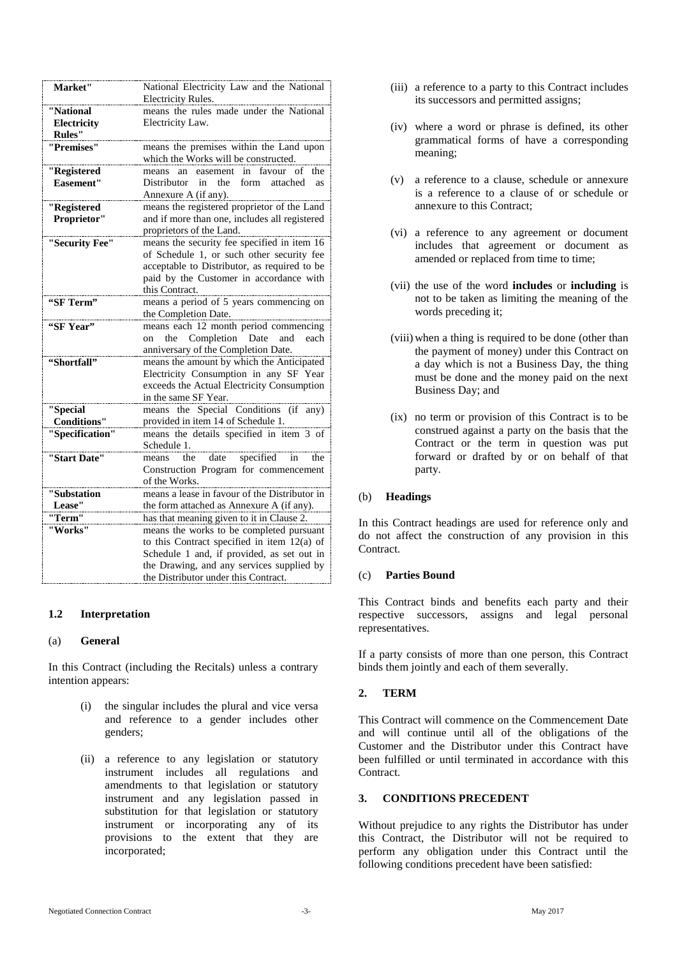| Market"            | National Electricity Law and the National                 |
|--------------------|-----------------------------------------------------------|
|                    | <b>Electricity Rules.</b>                                 |
| "National          | means the rules made under the National                   |
| Electricity        | Electricity Law.                                          |
| <b>Rules"</b>      |                                                           |
| "Premises"         | means the premises within the Land upon                   |
|                    | which the Works will be constructed.                      |
| "Registered        | favour of<br>easement<br>in<br>the<br>means<br>an         |
| Easement"          | Distributor<br>in<br>the<br>form<br>attached<br><b>as</b> |
|                    | Annexure A (if any).                                      |
| "Registered        | means the registered proprietor of the Land               |
| Proprietor"        | and if more than one, includes all registered             |
|                    | proprietors of the Land.                                  |
| "Security Fee"     | means the security fee specified in item 16               |
|                    | of Schedule 1, or such other security fee                 |
|                    | acceptable to Distributor, as required to be              |
|                    | paid by the Customer in accordance with                   |
|                    | this Contract.                                            |
| "SF Term"          | means a period of 5 years commencing on                   |
|                    | the Completion Date.                                      |
| "SF Year"          | means each 12 month period commencing                     |
|                    | Completion<br>Date<br>the<br>and<br>each<br>on            |
|                    | anniversary of the Completion Date.                       |
| "Shortfall"        | means the amount by which the Anticipated                 |
|                    | Electricity Consumption in any SF Year                    |
|                    | exceeds the Actual Electricity Consumption                |
|                    | in the same SF Year.                                      |
| "Special           | means the Special Conditions<br>(i f)<br>any)             |
| <b>Conditions"</b> | provided in item 14 of Schedule 1.                        |
| "Specification"    | means the details specified in item 3 of                  |
|                    | Schedule 1.                                               |
| "Start Date"       | specified<br>the<br>date<br>the<br>means<br>in            |
|                    | Construction Program for commencement                     |
|                    | of the Works.                                             |
| "Substation        | means a lease in favour of the Distributor in             |
| Lease"             | the form attached as Annexure A (if any).                 |
| "Term"             | has that meaning given to it in Clause 2.                 |
| "Works"            | means the works to be completed pursuant                  |
|                    | to this Contract specified in item 12(a) of               |
|                    | Schedule 1 and, if provided, as set out in                |
|                    | the Drawing, and any services supplied by                 |
|                    | the Distributor under this Contract.                      |

## **1.2 Interpretation**

#### (a) **General**

In this Contract (including the Recitals) unless a contrary intention appears:

- (i) the singular includes the plural and vice versa and reference to a gender includes other genders;
- (ii) a reference to any legislation or statutory instrument includes all regulations and amendments to that legislation or statutory instrument and any legislation passed in substitution for that legislation or statutory instrument or incorporating any of its provisions to the extent that they are incorporated;
- (iii) a reference to a party to this Contract includes its successors and permitted assigns;
- (iv) where a word or phrase is defined, its other grammatical forms of have a corresponding meaning;
- (v) a reference to a clause, schedule or annexure is a reference to a clause of or schedule or annexure to this Contract;
- (vi) a reference to any agreement or document includes that agreement or document as amended or replaced from time to time;
- (vii) the use of the word **includes** or **including** is not to be taken as limiting the meaning of the words preceding it;
- (viii) when a thing is required to be done (other than the payment of money) under this Contract on a day which is not a Business Day, the thing must be done and the money paid on the next Business Day; and
- (ix) no term or provision of this Contract is to be construed against a party on the basis that the Contract or the term in question was put forward or drafted by or on behalf of that party.

## (b) **Headings**

In this Contract headings are used for reference only and do not affect the construction of any provision in this Contract.

## (c) **Parties Bound**

This Contract binds and benefits each party and their respective successors, assigns and legal personal representatives.

If a party consists of more than one person, this Contract binds them jointly and each of them severally.

# <span id="page-2-0"></span>**2. TERM**

This Contract will commence on the Commencement Date and will continue until all of the obligations of the Customer and the Distributor under this Contract have been fulfilled or until terminated in accordance with this Contract.

## **3. CONDITIONS PRECEDENT**

Without prejudice to any rights the Distributor has under this Contract, the Distributor will not be required to perform any obligation under this Contract until the following conditions precedent have been satisfied: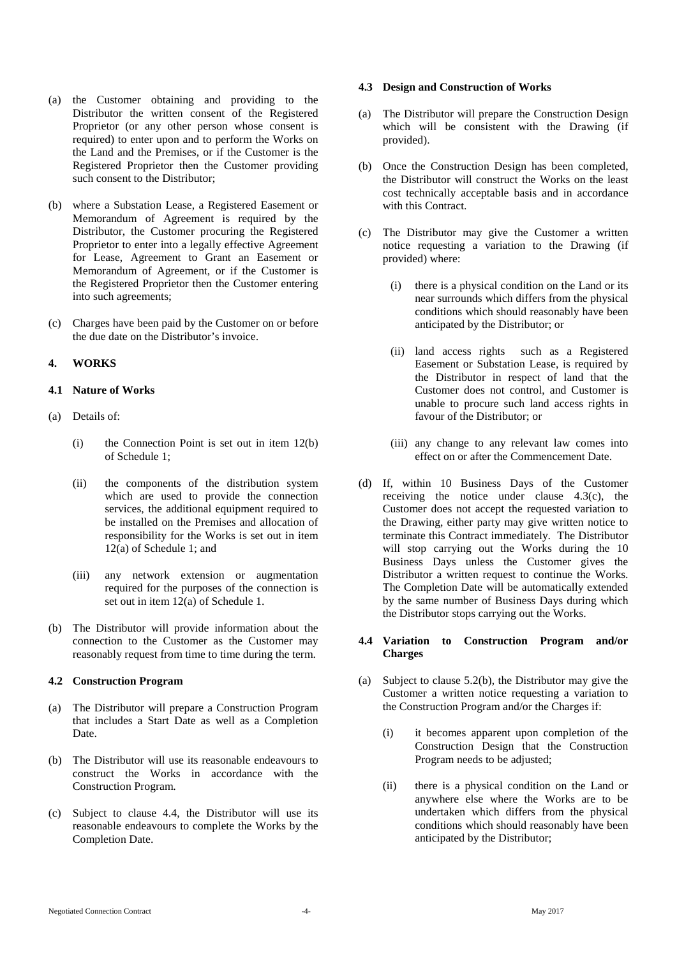- (a) the Customer obtaining and providing to the Distributor the written consent of the Registered Proprietor (or any other person whose consent is required) to enter upon and to perform the Works on the Land and the Premises, or if the Customer is the Registered Proprietor then the Customer providing such consent to the Distributor;
- (b) where a Substation Lease, a Registered Easement or Memorandum of Agreement is required by the Distributor, the Customer procuring the Registered Proprietor to enter into a legally effective Agreement for Lease, Agreement to Grant an Easement or Memorandum of Agreement, or if the Customer is the Registered Proprietor then the Customer entering into such agreements;
- (c) Charges have been paid by the Customer on or before the due date on the Distributor's invoice.

#### **4. WORKS**

#### **4.1 Nature of Works**

- (a) Details of:
	- (i) the Connection Point is set out in item 12(b) of Schedule 1;
	- (ii) the components of the distribution system which are used to provide the connection services, the additional equipment required to be installed on the Premises and allocation of responsibility for the Works is set out in item 12(a) of Schedule 1; and
	- (iii) any network extension or augmentation required for the purposes of the connection is set out in item 12(a) of Schedule 1.
- (b) The Distributor will provide information about the connection to the Customer as the Customer may reasonably request from time to time during the term.

#### **4.2 Construction Program**

- (a) The Distributor will prepare a Construction Program that includes a Start Date as well as a Completion Date.
- (b) The Distributor will use its reasonable endeavours to construct the Works in accordance with the Construction Program.
- (c) Subject to clause 4.4, the Distributor will use its reasonable endeavours to complete the Works by the Completion Date.

#### **4.3 Design and Construction of Works**

- (a) The Distributor will prepare the Construction Design which will be consistent with the Drawing (if provided).
- (b) Once the Construction Design has been completed, the Distributor will construct the Works on the least cost technically acceptable basis and in accordance with this Contract.
- (c) The Distributor may give the Customer a written notice requesting a variation to the Drawing (if provided) where:
	- (i) there is a physical condition on the Land or its near surrounds which differs from the physical conditions which should reasonably have been anticipated by the Distributor; or
	- (ii) land access rights such as a Registered Easement or Substation Lease, is required by the Distributor in respect of land that the Customer does not control, and Customer is unable to procure such land access rights in favour of the Distributor; or
	- (iii) any change to any relevant law comes into effect on or after the Commencement Date.
- (d) If, within 10 Business Days of the Customer receiving the notice under clause 4.3(c), the Customer does not accept the requested variation to the Drawing, either party may give written notice to terminate this Contract immediately. The Distributor will stop carrying out the Works during the 10 Business Days unless the Customer gives the Distributor a written request to continue the Works. The Completion Date will be automatically extended by the same number of Business Days during which the Distributor stops carrying out the Works.

#### **4.4 Variation to Construction Program and/or Charges**

- (a) Subject to clause 5.2(b), the Distributor may give the Customer a written notice requesting a variation to the Construction Program and/or the Charges if:
	- (i) it becomes apparent upon completion of the Construction Design that the Construction Program needs to be adjusted;
	- (ii) there is a physical condition on the Land or anywhere else where the Works are to be undertaken which differs from the physical conditions which should reasonably have been anticipated by the Distributor;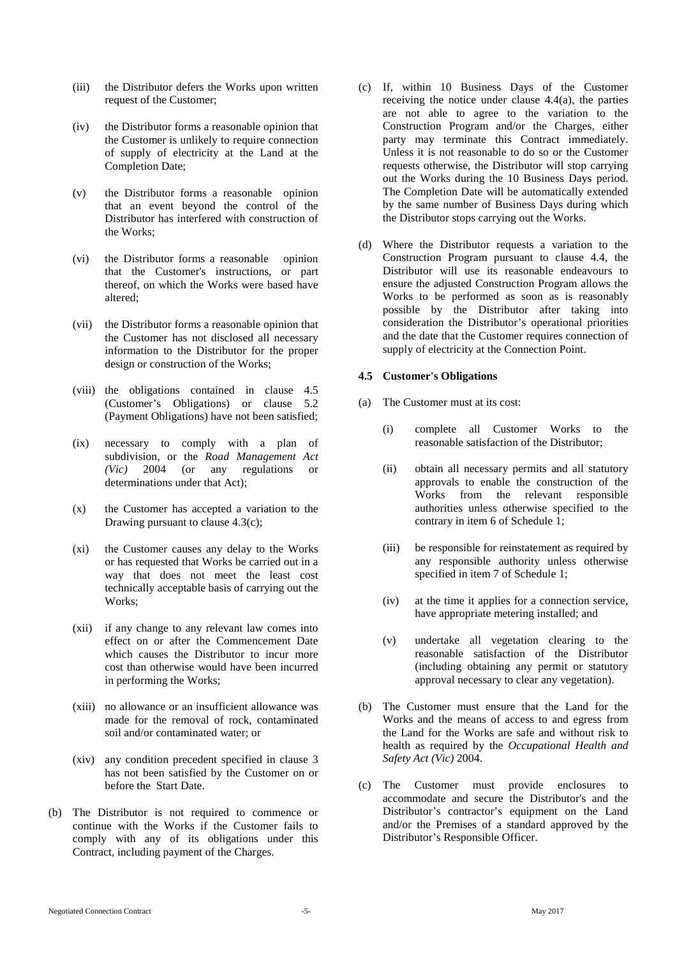- (iii) the Distributor defers the Works upon written request of the Customer;
- (iv) the Distributor forms a reasonable opinion that the Customer is unlikely to require connection of supply of electricity at the Land at the Completion Date;
- (v) the Distributor forms a reasonable opinion that an event beyond the control of the Distributor has interfered with construction of the Works;
- (vi) the Distributor forms a reasonable opinion that the Customer's instructions, or part thereof, on which the Works were based have altered;
- (vii) the Distributor forms a reasonable opinion that the Customer has not disclosed all necessary information to the Distributor for the proper design or construction of the Works;
- (viii) the obligations contained in clause 4.5 (Customer's Obligations) or clause 5.2 (Payment Obligations) have not been satisfied;
- (ix) necessary to comply with a plan of subdivision, or the *Road Management Act (Vic)* 2004 (or any regulations or *(Vic)* 2004 (or any regulations or determinations under that Act);
- (x) the Customer has accepted a variation to the Drawing pursuant to clause 4.3(c);
- (xi) the Customer causes any delay to the Works or has requested that Works be carried out in a way that does not meet the least cost technically acceptable basis of carrying out the Works;
- (xii) if any change to any relevant law comes into effect on or after the Commencement Date which causes the Distributor to incur more cost than otherwise would have been incurred in performing the Works;
- (xiii) no allowance or an insufficient allowance was made for the removal of rock, contaminated soil and/or contaminated water; or
- (xiv) any condition precedent specified in clause 3 has not been satisfied by the Customer on or before the Start Date.
- (b) The Distributor is not required to commence or continue with the Works if the Customer fails to comply with any of its obligations under this Contract, including payment of the Charges.
- (c) If, within 10 Business Days of the Customer receiving the notice under clause 4.4(a), the parties are not able to agree to the variation to the Construction Program and/or the Charges, either party may terminate this Contract immediately. Unless it is not reasonable to do so or the Customer requests otherwise, the Distributor will stop carrying out the Works during the 10 Business Days period. The Completion Date will be automatically extended by the same number of Business Days during which the Distributor stops carrying out the Works.
- (d) Where the Distributor requests a variation to the Construction Program pursuant to clause 4.4, the Distributor will use its reasonable endeavours to ensure the adjusted Construction Program allows the Works to be performed as soon as is reasonably possible by the Distributor after taking into consideration the Distributor's operational priorities and the date that the Customer requires connection of supply of electricity at the Connection Point.

#### **4.5 Customer's Obligations**

- (a) The Customer must at its cost:
	- (i) complete all Customer Works to the reasonable satisfaction of the Distributor;
	- (ii) obtain all necessary permits and all statutory approvals to enable the construction of the Works from the relevant responsible authorities unless otherwise specified to the contrary in item 6 of Schedule 1;
	- (iii) be responsible for reinstatement as required by any responsible authority unless otherwise specified in item 7 of Schedule 1;
	- (iv) at the time it applies for a connection service, have appropriate metering installed; and
	- (v) undertake all vegetation clearing to the reasonable satisfaction of the Distributor (including obtaining any permit or statutory approval necessary to clear any vegetation).
- (b) The Customer must ensure that the Land for the Works and the means of access to and egress from the Land for the Works are safe and without risk to health as required by the *Occupational Health and Safety Act (Vic)* 2004.
- (c) The Customer must provide enclosures to accommodate and secure the Distributor's and the Distributor's contractor's equipment on the Land and/or the Premises of a standard approved by the Distributor's Responsible Officer.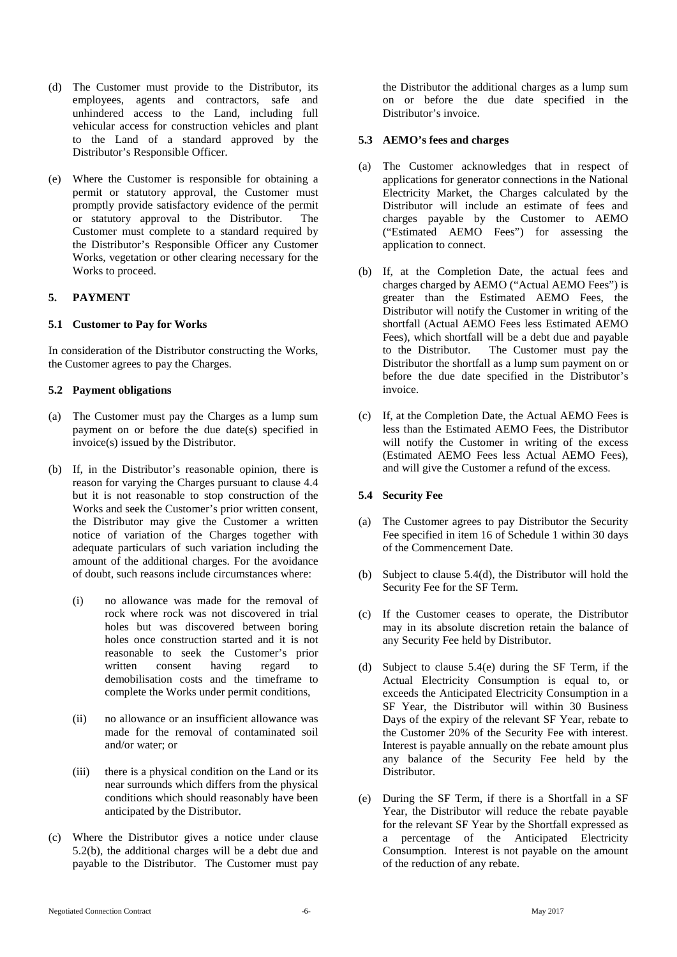- (d) The Customer must provide to the Distributor, its employees, agents and contractors, safe and unhindered access to the Land, including full vehicular access for construction vehicles and plant to the Land of a standard approved by the Distributor's Responsible Officer.
- (e) Where the Customer is responsible for obtaining a permit or statutory approval, the Customer must promptly provide satisfactory evidence of the permit or statutory approval to the Distributor. The Customer must complete to a standard required by the Distributor's Responsible Officer any Customer Works, vegetation or other clearing necessary for the Works to proceed.

#### **5. PAYMENT**

#### **5.1 Customer to Pay for Works**

In consideration of the Distributor constructing the Works, the Customer agrees to pay the Charges.

#### **5.2 Payment obligations**

- (a) The Customer must pay the Charges as a lump sum payment on or before the due date(s) specified in invoice(s) issued by the Distributor.
- (b) If, in the Distributor's reasonable opinion, there is reason for varying the Charges pursuant to clause 4.4 but it is not reasonable to stop construction of the Works and seek the Customer's prior written consent, the Distributor may give the Customer a written notice of variation of the Charges together with adequate particulars of such variation including the amount of the additional charges. For the avoidance of doubt, such reasons include circumstances where:
	- (i) no allowance was made for the removal of rock where rock was not discovered in trial holes but was discovered between boring holes once construction started and it is not reasonable to seek the Customer's prior written consent having regard to demobilisation costs and the timeframe to complete the Works under permit conditions,
	- (ii) no allowance or an insufficient allowance was made for the removal of contaminated soil and/or water; or
	- (iii) there is a physical condition on the Land or its near surrounds which differs from the physical conditions which should reasonably have been anticipated by the Distributor.
- (c) Where the Distributor gives a notice under clause 5.2(b), the additional charges will be a debt due and payable to the Distributor. The Customer must pay

the Distributor the additional charges as a lump sum on or before the due date specified in the Distributor's invoice.

#### **5.3 AEMO's fees and charges**

- (a) The Customer acknowledges that in respect of applications for generator connections in the National Electricity Market, the Charges calculated by the Distributor will include an estimate of fees and charges payable by the Customer to AEMO ("Estimated AEMO Fees") for assessing the application to connect.
- (b) If, at the Completion Date, the actual fees and charges charged by AEMO ("Actual AEMO Fees") is greater than the Estimated AEMO Fees, the Distributor will notify the Customer in writing of the shortfall (Actual AEMO Fees less Estimated AEMO Fees), which shortfall will be a debt due and payable to the Distributor. The Customer must pay the Distributor the shortfall as a lump sum payment on or before the due date specified in the Distributor's invoice.
- (c) If, at the Completion Date, the Actual AEMO Fees is less than the Estimated AEMO Fees, the Distributor will notify the Customer in writing of the excess (Estimated AEMO Fees less Actual AEMO Fees), and will give the Customer a refund of the excess.

## **5.4 Security Fee**

- (a) The Customer agrees to pay Distributor the Security Fee specified in item 16 of Schedule 1 within 30 days of the Commencement Date.
- (b) Subject to clause 5.4(d), the Distributor will hold the Security Fee for the SF Term.
- (c) If the Customer ceases to operate, the Distributor may in its absolute discretion retain the balance of any Security Fee held by Distributor.
- (d) Subject to clause 5.4(e) during the SF Term, if the Actual Electricity Consumption is equal to, or exceeds the Anticipated Electricity Consumption in a SF Year, the Distributor will within 30 Business Days of the expiry of the relevant SF Year, rebate to the Customer 20% of the Security Fee with interest. Interest is payable annually on the rebate amount plus any balance of the Security Fee held by the Distributor.
- (e) During the SF Term, if there is a Shortfall in a SF Year, the Distributor will reduce the rebate payable for the relevant SF Year by the Shortfall expressed as a percentage of the Anticipated Electricity Consumption. Interest is not payable on the amount of the reduction of any rebate.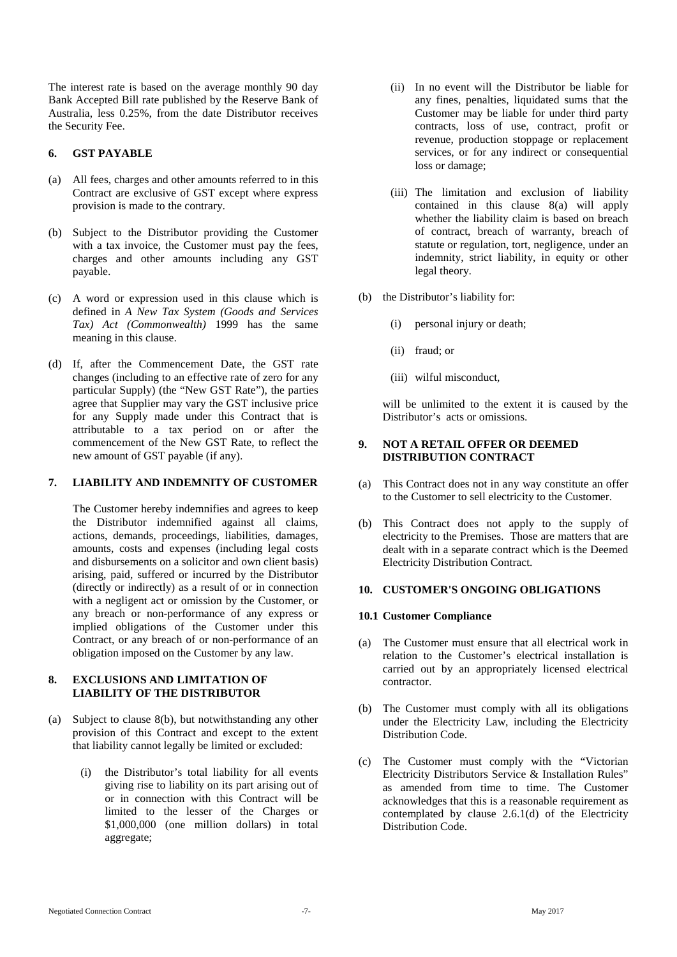The interest rate is based on the average monthly 90 day Bank Accepted Bill rate published by the Reserve Bank of Australia, less 0.25%, from the date Distributor receives the Security Fee.

## **6. GST PAYABLE**

- (a) All fees, charges and other amounts referred to in this Contract are exclusive of GST except where express provision is made to the contrary.
- (b) Subject to the Distributor providing the Customer with a tax invoice, the Customer must pay the fees, charges and other amounts including any GST payable.
- (c) A word or expression used in this clause which is defined in *A New Tax System (Goods and Services Tax) Act (Commonwealth)* 1999 has the same meaning in this clause.
- (d) If, after the Commencement Date, the GST rate changes (including to an effective rate of zero for any particular Supply) (the "New GST Rate"), the parties agree that Supplier may vary the GST inclusive price for any Supply made under this Contract that is attributable to a tax period on or after the commencement of the New GST Rate, to reflect the new amount of GST payable (if any).

# **7. LIABILITY AND INDEMNITY OF CUSTOMER**

The Customer hereby indemnifies and agrees to keep the Distributor indemnified against all claims, actions, demands, proceedings, liabilities, damages, amounts, costs and expenses (including legal costs and disbursements on a solicitor and own client basis) arising, paid, suffered or incurred by the Distributor (directly or indirectly) as a result of or in connection with a negligent act or omission by the Customer, or any breach or non-performance of any express or implied obligations of the Customer under this Contract, or any breach of or non-performance of an obligation imposed on the Customer by any law.

## **8. EXCLUSIONS AND LIMITATION OF LIABILITY OF THE DISTRIBUTOR**

- (a) Subject to clause 8(b), but notwithstanding any other provision of this Contract and except to the extent that liability cannot legally be limited or excluded:
	- (i) the Distributor's total liability for all events giving rise to liability on its part arising out of or in connection with this Contract will be limited to the lesser of the Charges or \$1,000,000 (one million dollars) in total aggregate;
- (ii) In no event will the Distributor be liable for any fines, penalties, liquidated sums that the Customer may be liable for under third party contracts, loss of use, contract, profit or revenue, production stoppage or replacement services, or for any indirect or consequential loss or damage;
- (iii) The limitation and exclusion of liability contained in this clause 8(a) will apply whether the liability claim is based on breach of contract, breach of warranty, breach of statute or regulation, tort, negligence, under an indemnity, strict liability, in equity or other legal theory.
- (b) the Distributor's liability for:
	- (i) personal injury or death;
	- (ii) fraud; or
	- (iii) wilful misconduct,

will be unlimited to the extent it is caused by the Distributor's acts or omissions.

#### **9. NOT A RETAIL OFFER OR DEEMED DISTRIBUTION CONTRACT**

- (a) This Contract does not in any way constitute an offer to the Customer to sell electricity to the Customer.
- (b) This Contract does not apply to the supply of electricity to the Premises. Those are matters that are dealt with in a separate contract which is the Deemed Electricity Distribution Contract.

## **10. CUSTOMER'S ONGOING OBLIGATIONS**

## **10.1 Customer Compliance**

- (a) The Customer must ensure that all electrical work in relation to the Customer's electrical installation is carried out by an appropriately licensed electrical contractor.
- (b) The Customer must comply with all its obligations under the Electricity Law, including the Electricity Distribution Code.
- (c) The Customer must comply with the "Victorian Electricity Distributors Service & Installation Rules" as amended from time to time. The Customer acknowledges that this is a reasonable requirement as contemplated by clause 2.6.1(d) of the Electricity Distribution Code.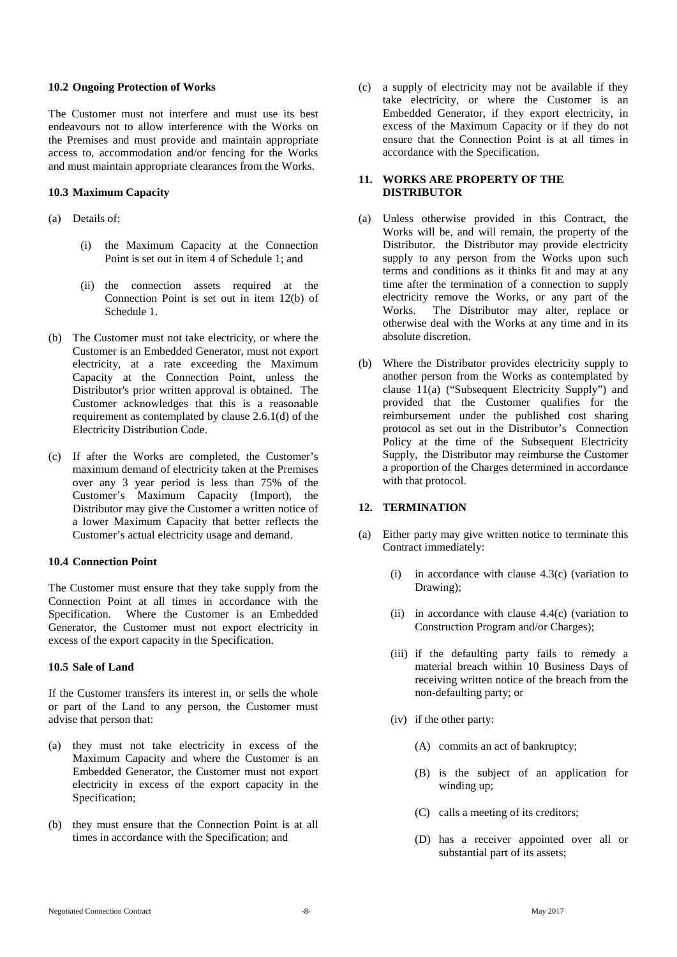#### **10.2 Ongoing Protection of Works**

The Customer must not interfere and must use its best endeavours not to allow interference with the Works on the Premises and must provide and maintain appropriate access to, accommodation and/or fencing for the Works and must maintain appropriate clearances from the Works.

## **10.3 Maximum Capacity**

- (a) Details of:
	- (i) the Maximum Capacity at the Connection Point is set out in item 4 of Schedule 1; and
	- (ii) the connection assets required at the Connection Point is set out in item 12(b) of Schedule 1.
- (b) The Customer must not take electricity, or where the Customer is an Embedded Generator, must not export electricity, at a rate exceeding the Maximum Capacity at the Connection Point, unless the Distributor's prior written approval is obtained. The Customer acknowledges that this is a reasonable requirement as contemplated by clause 2.6.1(d) of the Electricity Distribution Code.
- (c) If after the Works are completed, the Customer's maximum demand of electricity taken at the Premises over any 3 year period is less than 75% of the Customer's Maximum Capacity (Import), the Distributor may give the Customer a written notice of a lower Maximum Capacity that better reflects the Customer's actual electricity usage and demand.

#### **10.4 Connection Point**

The Customer must ensure that they take supply from the Connection Point at all times in accordance with the Specification. Where the Customer is an Embedded Generator, the Customer must not export electricity in excess of the export capacity in the Specification.

## **10.5 Sale of Land**

If the Customer transfers its interest in, or sells the whole or part of the Land to any person, the Customer must advise that person that:

- (a) they must not take electricity in excess of the Maximum Capacity and where the Customer is an Embedded Generator, the Customer must not export electricity in excess of the export capacity in the Specification;
- (b) they must ensure that the Connection Point is at all times in accordance with the Specification; and

(c) a supply of electricity may not be available if they take electricity, or where the Customer is an Embedded Generator, if they export electricity, in excess of the Maximum Capacity or if they do not ensure that the Connection Point is at all times in accordance with the Specification.

#### <span id="page-7-0"></span>**11. WORKS ARE PROPERTY OF THE DISTRIBUTOR**

- (a) Unless otherwise provided in this Contract, the Works will be, and will remain, the property of the Distributor. the Distributor may provide electricity supply to any person from the Works upon such terms and conditions as it thinks fit and may at any time after the termination of a connection to supply electricity remove the Works, or any part of the Works. The Distributor may alter, replace or The Distributor may alter, replace or otherwise deal with the Works at any time and in its absolute discretion.
- (b) Where the Distributor provides electricity supply to another person from the Works as contemplated by clause [11\(a\)](#page-7-0) ("Subsequent Electricity Supply") and provided that the Customer qualifies for the reimbursement under the published cost sharing protocol as set out in the Distributor's Connection Policy at the time of the Subsequent Electricity Supply, the Distributor may reimburse the Customer a proportion of the Charges determined in accordance with that protocol.

## **12. TERMINATION**

- (a) Either party may give written notice to terminate this Contract immediately:
	- (i) in accordance with clause  $4.3(c)$  (variation to Drawing);
	- (ii) in accordance with clause 4.4(c) (variation to Construction Program and/or Charges);
	- (iii) if the defaulting party fails to remedy a material breach within 10 Business Days of receiving written notice of the breach from the non-defaulting party; or
	- (iv) if the other party:
		- (A) commits an act of bankruptcy;
		- (B) is the subject of an application for winding up;
		- (C) calls a meeting of its creditors;
		- (D) has a receiver appointed over all or substantial part of its assets;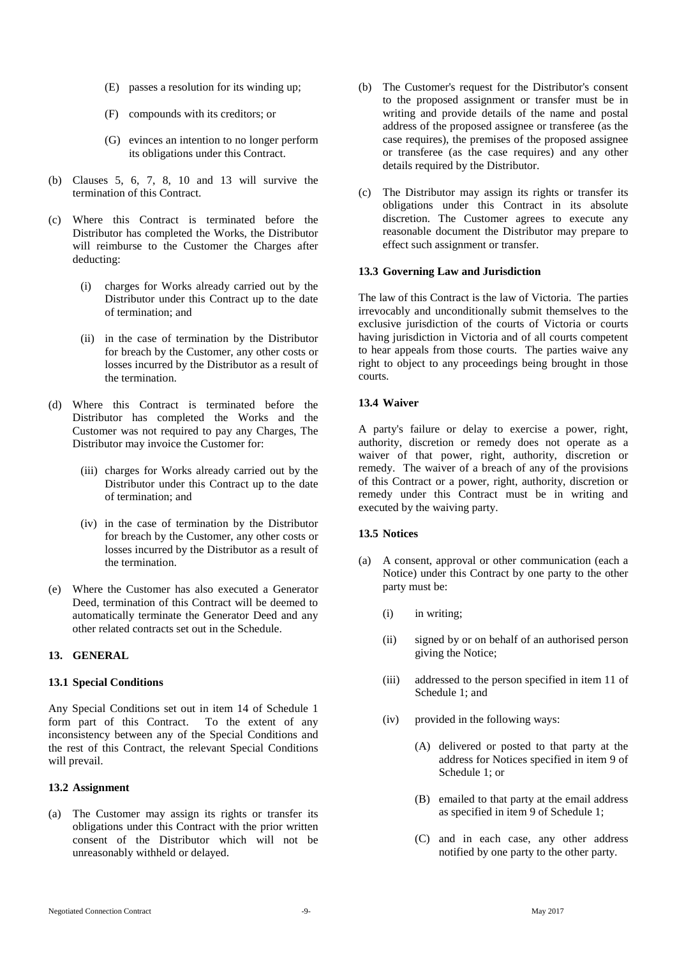- (E) passes a resolution for its winding up;
- (F) compounds with its creditors; or
- (G) evinces an intention to no longer perform its obligations under this Contract.
- (b) Clauses 5, 6, 7, 8, 10 and 13 will survive the termination of this Contract.
- (c) Where this Contract is terminated before the Distributor has completed the Works, the Distributor will reimburse to the Customer the Charges after deducting:
	- (i) charges for Works already carried out by the Distributor under this Contract up to the date of termination; and
	- (ii) in the case of termination by the Distributor for breach by the Customer, any other costs or losses incurred by the Distributor as a result of the termination.
- (d) Where this Contract is terminated before the Distributor has completed the Works and the Customer was not required to pay any Charges, The Distributor may invoice the Customer for:
	- (iii) charges for Works already carried out by the Distributor under this Contract up to the date of termination; and
	- (iv) in the case of termination by the Distributor for breach by the Customer, any other costs or losses incurred by the Distributor as a result of the termination.
- (e) Where the Customer has also executed a Generator Deed, termination of this Contract will be deemed to automatically terminate the Generator Deed and any other related contracts set out in the Schedule.

# **13. GENERAL**

## **13.1 Special Conditions**

Any Special Conditions set out in item 14 of Schedule 1 form part of this Contract. To the extent of any inconsistency between any of the Special Conditions and the rest of this Contract, the relevant Special Conditions will prevail.

## **13.2 Assignment**

(a) The Customer may assign its rights or transfer its obligations under this Contract with the prior written consent of the Distributor which will not be unreasonably withheld or delayed.

- (b) The Customer's request for the Distributor's consent to the proposed assignment or transfer must be in writing and provide details of the name and postal address of the proposed assignee or transferee (as the case requires), the premises of the proposed assignee or transferee (as the case requires) and any other details required by the Distributor.
- (c) The Distributor may assign its rights or transfer its obligations under this Contract in its absolute discretion. The Customer agrees to execute any reasonable document the Distributor may prepare to effect such assignment or transfer.

## **13.3 Governing Law and Jurisdiction**

The law of this Contract is the law of Victoria. The parties irrevocably and unconditionally submit themselves to the exclusive jurisdiction of the courts of Victoria or courts having jurisdiction in Victoria and of all courts competent to hear appeals from those courts. The parties waive any right to object to any proceedings being brought in those courts.

## **13.4 Waiver**

A party's failure or delay to exercise a power, right, authority, discretion or remedy does not operate as a waiver of that power, right, authority, discretion or remedy. The waiver of a breach of any of the provisions of this Contract or a power, right, authority, discretion or remedy under this Contract must be in writing and executed by the waiving party.

## **13.5 Notices**

- (a) A consent, approval or other communication (each a Notice) under this Contract by one party to the other party must be:
	- (i) in writing;
	- (ii) signed by or on behalf of an authorised person giving the Notice;
	- (iii) addressed to the person specified in item 11 of Schedule 1; and
	- (iv) provided in the following ways:
		- (A) delivered or posted to that party at the address for Notices specified in item 9 of Schedule 1; or
		- (B) emailed to that party at the email address as specified in item 9 of Schedule 1;
		- (C) and in each case, any other address notified by one party to the other party.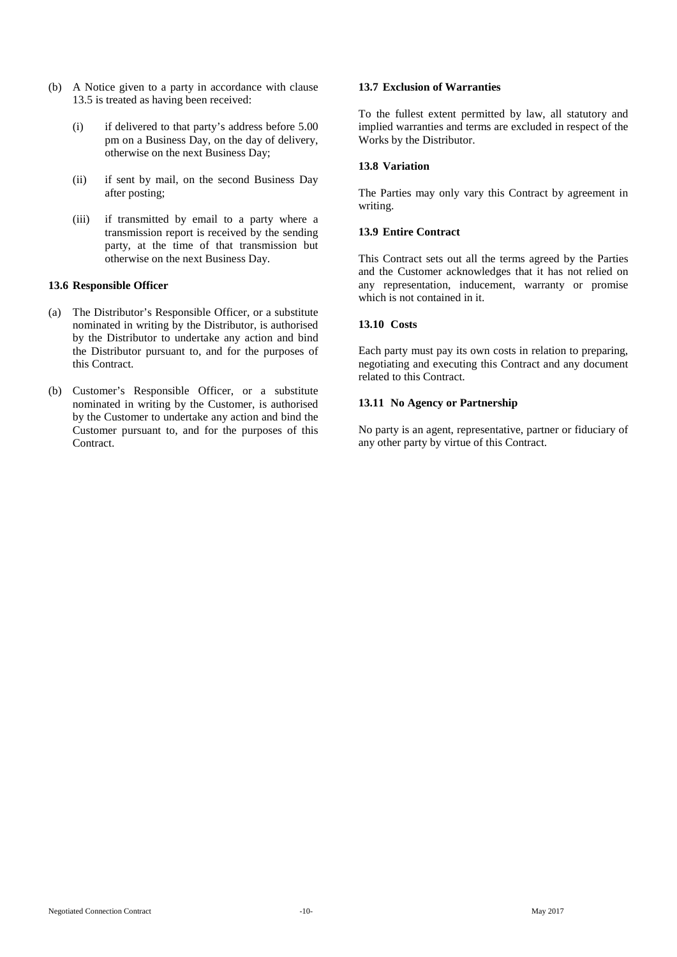- (b) A Notice given to a party in accordance with clause 13.5 is treated as having been received:
	- (i) if delivered to that party's address before 5.00 pm on a Business Day, on the day of delivery, otherwise on the next Business Day;
	- (ii) if sent by mail, on the second Business Day after posting;
	- (iii) if transmitted by email to a party where a transmission report is received by the sending party, at the time of that transmission but otherwise on the next Business Day.

## **13.6 Responsible Officer**

- (a) The Distributor's Responsible Officer, or a substitute nominated in writing by the Distributor, is authorised by the Distributor to undertake any action and bind the Distributor pursuant to, and for the purposes of this Contract.
- (b) Customer's Responsible Officer, or a substitute nominated in writing by the Customer, is authorised by the Customer to undertake any action and bind the Customer pursuant to, and for the purposes of this Contract.

## **13.7 Exclusion of Warranties**

To the fullest extent permitted by law, all statutory and implied warranties and terms are excluded in respect of the Works by the Distributor.

# **13.8 Variation**

The Parties may only vary this Contract by agreement in writing.

## **13.9 Entire Contract**

This Contract sets out all the terms agreed by the Parties and the Customer acknowledges that it has not relied on any representation, inducement, warranty or promise which is not contained in it.

## **13.10 Costs**

Each party must pay its own costs in relation to preparing, negotiating and executing this Contract and any document related to this Contract.

## **13.11 No Agency or Partnership**

No party is an agent, representative, partner or fiduciary of any other party by virtue of this Contract.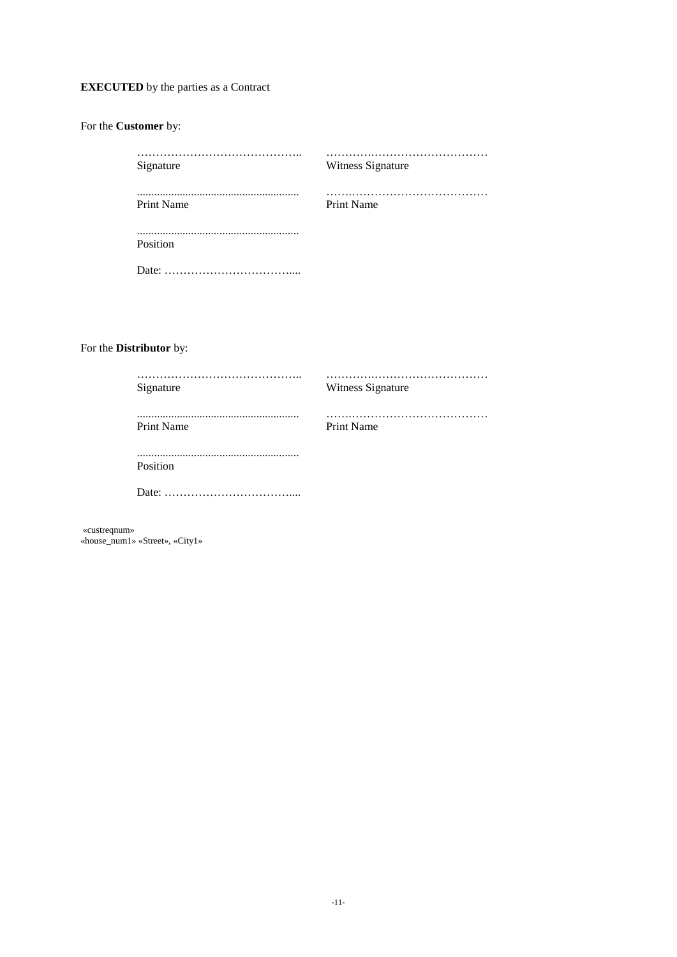# **EXECUTED** by the parties as a Contract

| Signature         | Witness Signature |
|-------------------|-------------------|
|                   |                   |
| <b>Print Name</b> | Print Name        |
|                   |                   |
| Position          |                   |
|                   |                   |

# For the **Distributor** by:

For the **Customer** by:

| Signature         | Witness Signature |
|-------------------|-------------------|
| <b>Print Name</b> | <b>Print Name</b> |
| Position          |                   |
|                   |                   |

«custreqnum» «house\_num1» «Street», «City1»

-11-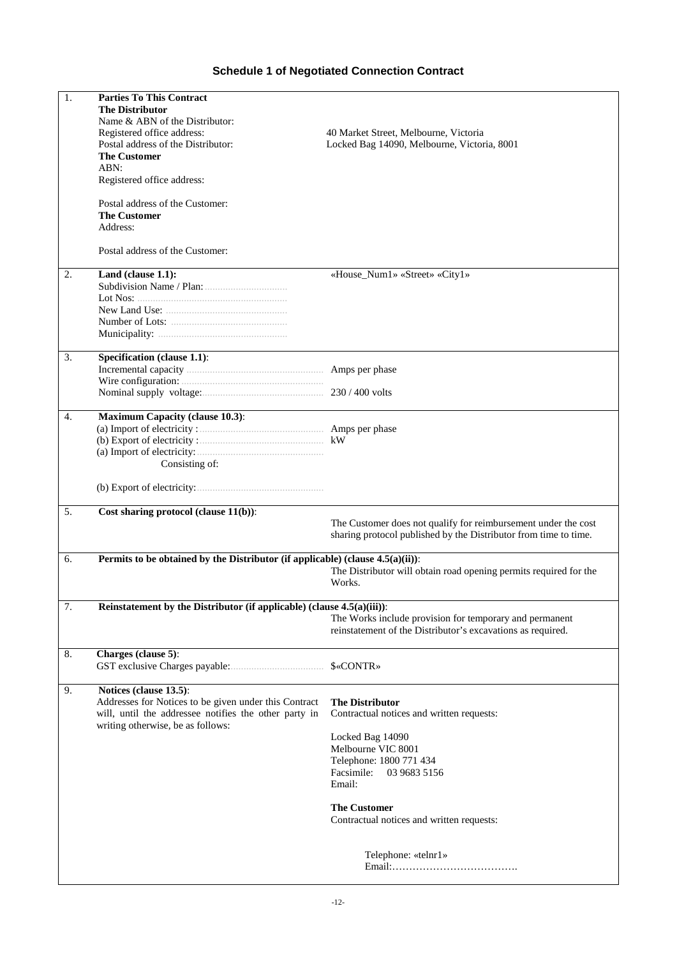# **Schedule 1 of Negotiated Connection Contract**

| 1. | <b>Parties To This Contract</b><br><b>The Distributor</b><br>Name & ABN of the Distributor:<br>Registered office address:<br>Postal address of the Distributor:<br><b>The Customer</b><br>ABN:<br>Registered office address:<br>Postal address of the Customer: | 40 Market Street, Melbourne, Victoria<br>Locked Bag 14090, Melbourne, Victoria, 8001                                                                                                                                                                 |
|----|-----------------------------------------------------------------------------------------------------------------------------------------------------------------------------------------------------------------------------------------------------------------|------------------------------------------------------------------------------------------------------------------------------------------------------------------------------------------------------------------------------------------------------|
|    | <b>The Customer</b><br>Address:<br>Postal address of the Customer:                                                                                                                                                                                              |                                                                                                                                                                                                                                                      |
| 2. | Land (clause 1.1):                                                                                                                                                                                                                                              | «House_Num1» «Street» «City1»                                                                                                                                                                                                                        |
| 3. | Specification (clause 1.1):                                                                                                                                                                                                                                     | Amps per phase                                                                                                                                                                                                                                       |
|    |                                                                                                                                                                                                                                                                 |                                                                                                                                                                                                                                                      |
| 4. | <b>Maximum Capacity (clause 10.3):</b><br>(a) Import of electricity:<br>Consisting of:                                                                                                                                                                          |                                                                                                                                                                                                                                                      |
|    |                                                                                                                                                                                                                                                                 |                                                                                                                                                                                                                                                      |
| 5. | Cost sharing protocol (clause 11(b)):                                                                                                                                                                                                                           | The Customer does not qualify for reimbursement under the cost<br>sharing protocol published by the Distributor from time to time.                                                                                                                   |
| 6. | Permits to be obtained by the Distributor (if applicable) (clause $4.5(a)(ii)$ ):                                                                                                                                                                               | The Distributor will obtain road opening permits required for the<br>Works.                                                                                                                                                                          |
| 7. | Reinstatement by the Distributor (if applicable) (clause $4.5(a)(iii)$ ):                                                                                                                                                                                       | The Works include provision for temporary and permanent<br>reinstatement of the Distributor's excavations as required.                                                                                                                               |
| 8. | Charges (clause 5):                                                                                                                                                                                                                                             | \$«CONTR»                                                                                                                                                                                                                                            |
| 9. | Notices (clause 13.5):<br>Addresses for Notices to be given under this Contract<br>will, until the addressee notifies the other party in<br>writing otherwise, be as follows:                                                                                   | <b>The Distributor</b><br>Contractual notices and written requests:<br>Locked Bag 14090<br>Melbourne VIC 8001<br>Telephone: 1800 771 434<br>Facsimile:<br>03 9683 5156<br>Email:<br><b>The Customer</b><br>Contractual notices and written requests: |
|    |                                                                                                                                                                                                                                                                 | Telephone: «telnr1»                                                                                                                                                                                                                                  |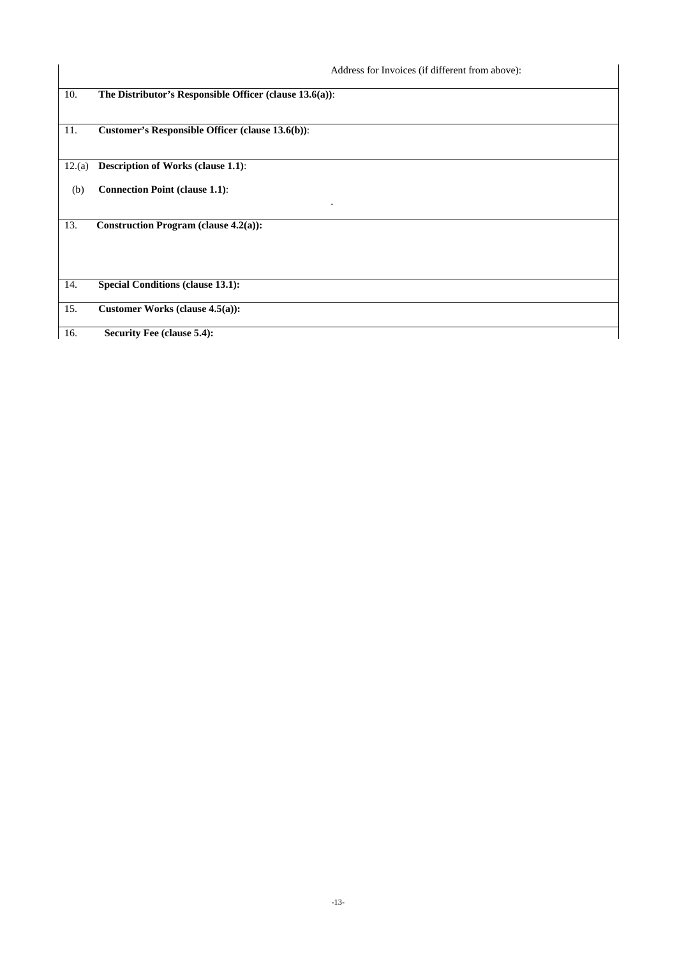|        | Address for Invoices (if different from above):         |
|--------|---------------------------------------------------------|
| 10.    | The Distributor's Responsible Officer (clause 13.6(a)): |
| 11.    | Customer's Responsible Officer (clause 13.6(b)):        |
| 12.(a) | <b>Description of Works (clause 1.1):</b>               |
| (b)    | <b>Connection Point (clause 1.1):</b><br>$\bullet$      |
| 13.    | Construction Program (clause $4.2(a)$ ):                |
| 14.    | <b>Special Conditions (clause 13.1):</b>                |
| 15.    | Customer Works (clause 4.5(a)):                         |
| 16.    | <b>Security Fee (clause 5.4):</b>                       |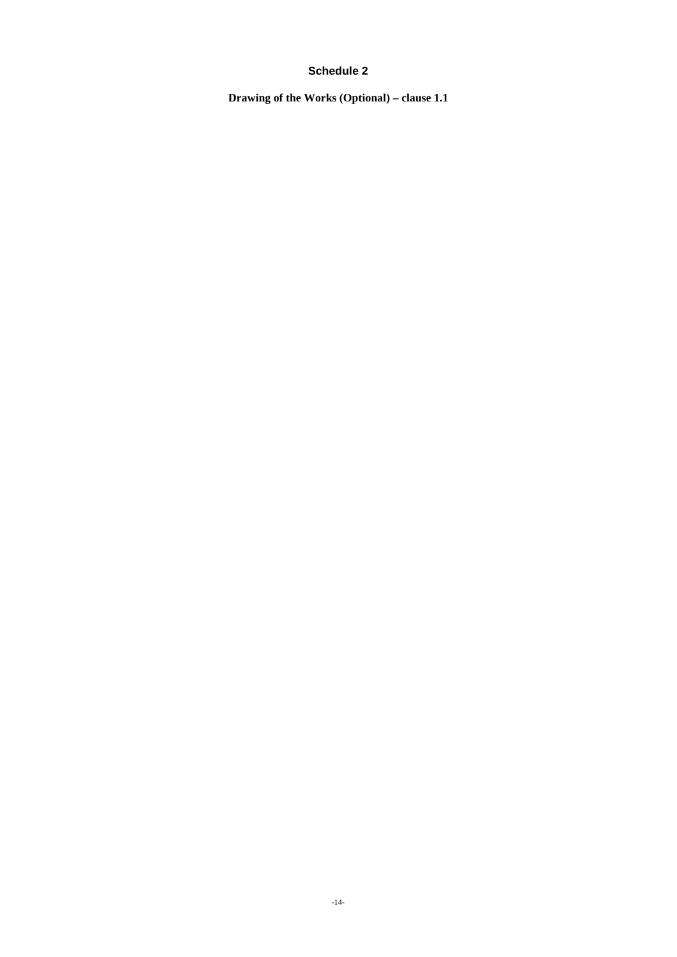# **Schedule 2**

**Drawing of the Works (Optional) – clause 1.1**